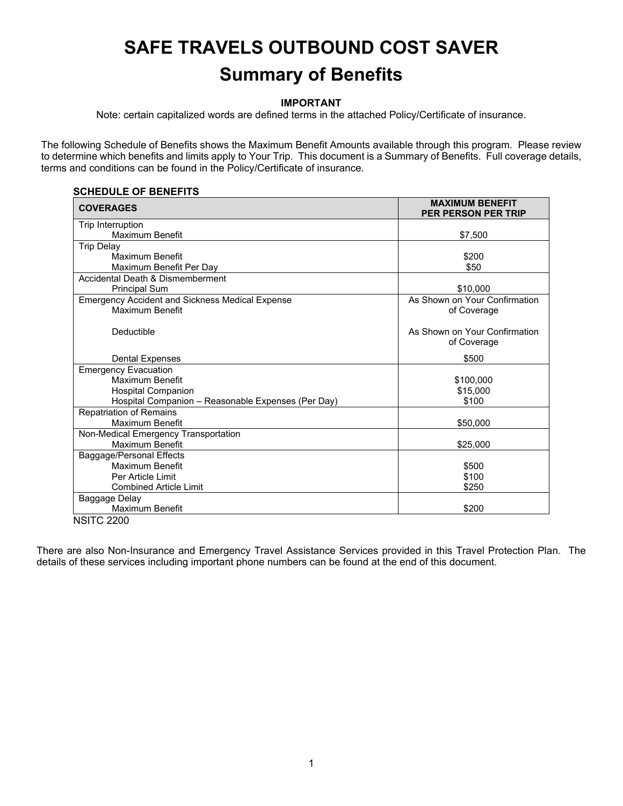# **SAFE TRAVELS OUTBOUND COST SAVER Summary of Benefits**

## **IMPORTANT**

Note: certain capitalized words are defined terms in the attached Policy/Certificate of insurance.

The following Schedule of Benefits shows the Maximum Benefit Amounts available through this program. Please review to determine which benefits and limits apply to Your Trip. This document is a Summary of Benefits. Full coverage details, terms and conditions can be found in the Policy/Certificate of insurance.

#### **SCHEDULE OF BENEFITS**

| <b>COVERAGES</b>                                       | <b>MAXIMUM BENEFIT</b><br>PER PERSON PER TRIP |
|--------------------------------------------------------|-----------------------------------------------|
| Trip Interruption                                      |                                               |
| Maximum Benefit                                        | \$7,500                                       |
| <b>Trip Delay</b>                                      |                                               |
| Maximum Benefit                                        | \$200                                         |
| Maximum Benefit Per Day                                | \$50                                          |
| Accidental Death & Dismemberment                       |                                               |
| <b>Principal Sum</b>                                   | \$10,000                                      |
| <b>Emergency Accident and Sickness Medical Expense</b> | As Shown on Your Confirmation                 |
| Maximum Benefit                                        | of Coverage                                   |
| Deductible                                             | As Shown on Your Confirmation<br>of Coverage  |
| <b>Dental Expenses</b>                                 | \$500                                         |
| <b>Emergency Evacuation</b>                            |                                               |
| Maximum Benefit                                        | \$100,000                                     |
| <b>Hospital Companion</b>                              | \$15,000                                      |
| Hospital Companion - Reasonable Expenses (Per Day)     | \$100                                         |
| <b>Repatriation of Remains</b>                         |                                               |
| Maximum Benefit                                        | \$50,000                                      |
| Non-Medical Emergency Transportation                   |                                               |
| Maximum Benefit                                        | \$25,000                                      |
| Baggage/Personal Effects                               |                                               |
| Maximum Benefit                                        | \$500                                         |
| Per Article Limit                                      | \$100                                         |
| <b>Combined Article Limit</b>                          | \$250                                         |
| Baggage Delay                                          |                                               |
| Maximum Benefit                                        | \$200                                         |
| <b>NSITC 2200</b>                                      |                                               |

There are also Non-Insurance and Emergency Travel Assistance Services provided in this Travel Protection Plan. The details of these services including important phone numbers can be found at the end of this document.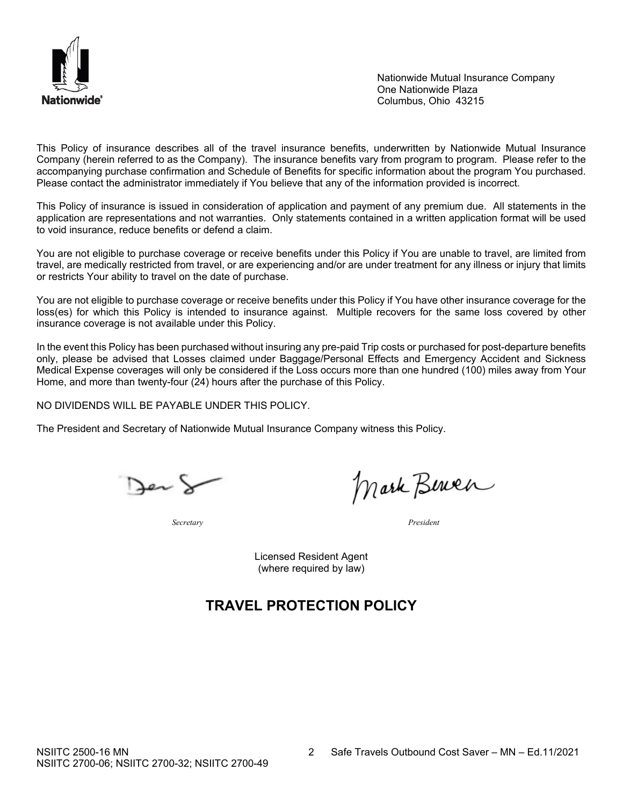

Nationwide Mutual Insurance Company One Nationwide Plaza Columbus, Ohio 43215

This Policy of insurance describes all of the travel insurance benefits, underwritten by Nationwide Mutual Insurance Company (herein referred to as the Company). The insurance benefits vary from program to program. Please refer to the accompanying purchase confirmation and Schedule of Benefits for specific information about the program You purchased. Please contact the administrator immediately if You believe that any of the information provided is incorrect.

This Policy of insurance is issued in consideration of application and payment of any premium due. All statements in the application are representations and not warranties. Only statements contained in a written application format will be used to void insurance, reduce benefits or defend a claim.

You are not eligible to purchase coverage or receive benefits under this Policy if You are unable to travel, are limited from travel, are medically restricted from travel, or are experiencing and/or are under treatment for any illness or injury that limits or restricts Your ability to travel on the date of purchase.

You are not eligible to purchase coverage or receive benefits under this Policy if You have other insurance coverage for the loss(es) for which this Policy is intended to insurance against. Multiple recovers for the same loss covered by other insurance coverage is not available under this Policy.

In the event this Policy has been purchased without insuring any pre-paid Trip costs or purchased for post-departure benefits only, please be advised that Losses claimed under Baggage/Personal Effects and Emergency Accident and Sickness Medical Expense coverages will only be considered if the Loss occurs more than one hundred (100) miles away from Your Home, and more than twenty-four (24) hours after the purchase of this Policy.

NO DIVIDENDS WILL BE PAYABLE UNDER THIS POLICY.

The President and Secretary of Nationwide Mutual Insurance Company witness this Policy.

Jer &

Mark Bernen

*Secretary President*

Licensed Resident Agent (where required by law)

# **TRAVEL PROTECTION POLICY**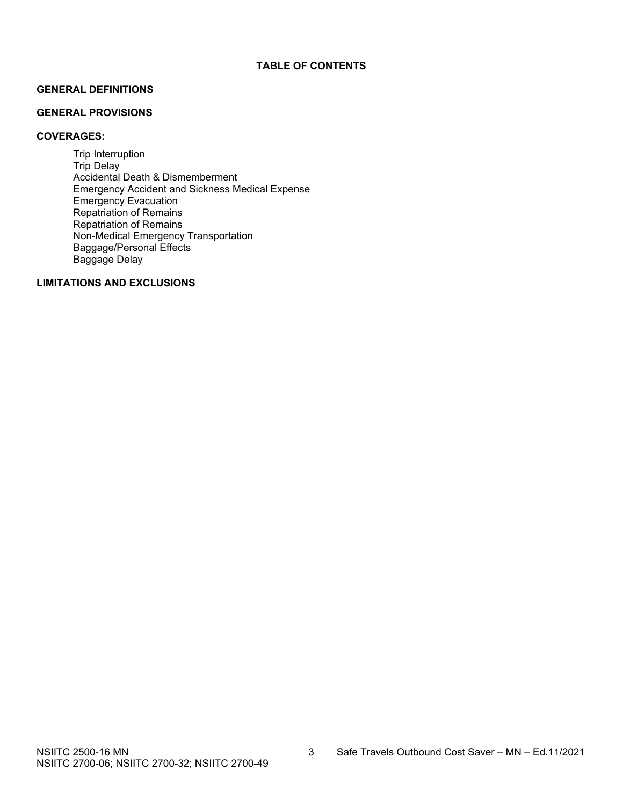# **GENERAL DEFINITIONS**

#### **GENERAL PROVISIONS**

# **COVERAGES:**

Trip Interruption Trip Delay Accidental Death & Dismemberment Emergency Accident and Sickness Medical Expense Emergency Evacuation Repatriation of Remains Repatriation of Remains Non-Medical Emergency Transportation Baggage/Personal Effects Baggage Delay

#### **LIMITATIONS AND EXCLUSIONS**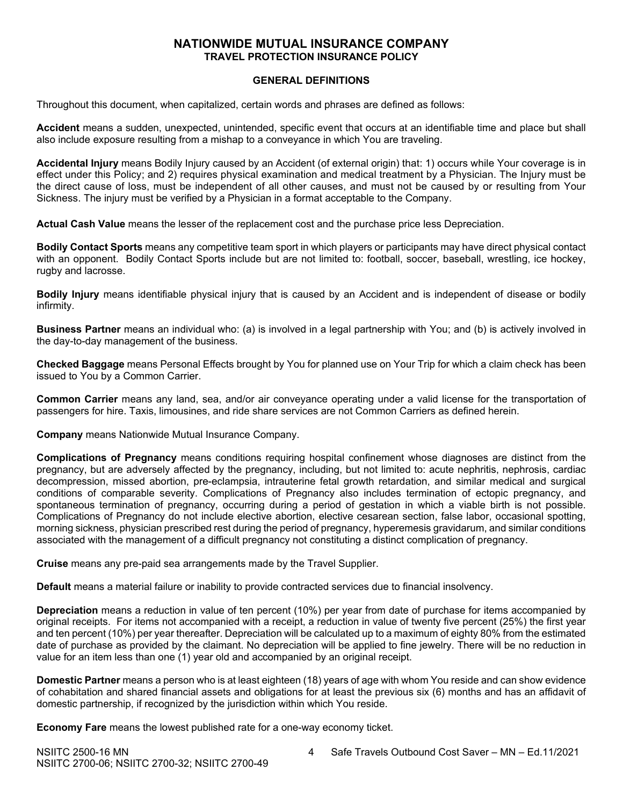# **NATIONWIDE MUTUAL INSURANCE COMPANY TRAVEL PROTECTION INSURANCE POLICY**

#### **GENERAL DEFINITIONS**

Throughout this document, when capitalized, certain words and phrases are defined as follows:

**Accident** means a sudden, unexpected, unintended, specific event that occurs at an identifiable time and place but shall also include exposure resulting from a mishap to a conveyance in which You are traveling.

**Accidental Injury** means Bodily Injury caused by an Accident (of external origin) that: 1) occurs while Your coverage is in effect under this Policy; and 2) requires physical examination and medical treatment by a Physician. The Injury must be the direct cause of loss, must be independent of all other causes, and must not be caused by or resulting from Your Sickness. The injury must be verified by a Physician in a format acceptable to the Company.

**Actual Cash Value** means the lesser of the replacement cost and the purchase price less Depreciation.

**Bodily Contact Sports** means any competitive team sport in which players or participants may have direct physical contact with an opponent. Bodily Contact Sports include but are not limited to: football, soccer, baseball, wrestling, ice hockey, rugby and lacrosse.

**Bodily Injury** means identifiable physical injury that is caused by an Accident and is independent of disease or bodily infirmity.

**Business Partner** means an individual who: (a) is involved in a legal partnership with You; and (b) is actively involved in the day-to-day management of the business.

**Checked Baggage** means Personal Effects brought by You for planned use on Your Trip for which a claim check has been issued to You by a Common Carrier.

**Common Carrier** means any land, sea, and/or air conveyance operating under a valid license for the transportation of passengers for hire. Taxis, limousines, and ride share services are not Common Carriers as defined herein.

**Company** means Nationwide Mutual Insurance Company.

**Complications of Pregnancy** means conditions requiring hospital confinement whose diagnoses are distinct from the pregnancy, but are adversely affected by the pregnancy, including, but not limited to: acute nephritis, nephrosis, cardiac decompression, missed abortion, pre-eclampsia, intrauterine fetal growth retardation, and similar medical and surgical conditions of comparable severity. Complications of Pregnancy also includes termination of ectopic pregnancy, and spontaneous termination of pregnancy, occurring during a period of gestation in which a viable birth is not possible. Complications of Pregnancy do not include elective abortion, elective cesarean section, false labor, occasional spotting, morning sickness, physician prescribed rest during the period of pregnancy, hyperemesis gravidarum, and similar conditions associated with the management of a difficult pregnancy not constituting a distinct complication of pregnancy.

**Cruise** means any pre-paid sea arrangements made by the Travel Supplier.

**Default** means a material failure or inability to provide contracted services due to financial insolvency.

**Depreciation** means a reduction in value of ten percent (10%) per year from date of purchase for items accompanied by original receipts. For items not accompanied with a receipt, a reduction in value of twenty five percent (25%) the first year and ten percent (10%) per year thereafter. Depreciation will be calculated up to a maximum of eighty 80% from the estimated date of purchase as provided by the claimant. No depreciation will be applied to fine jewelry. There will be no reduction in value for an item less than one (1) year old and accompanied by an original receipt.

**Domestic Partner** means a person who is at least eighteen (18) years of age with whom You reside and can show evidence of cohabitation and shared financial assets and obligations for at least the previous six (6) months and has an affidavit of domestic partnership, if recognized by the jurisdiction within which You reside.

**Economy Fare** means the lowest published rate for a one-way economy ticket.

NSIITC 2500-16 MN 4 Safe Travels Outbound Cost Saver – MN – Ed.11/2021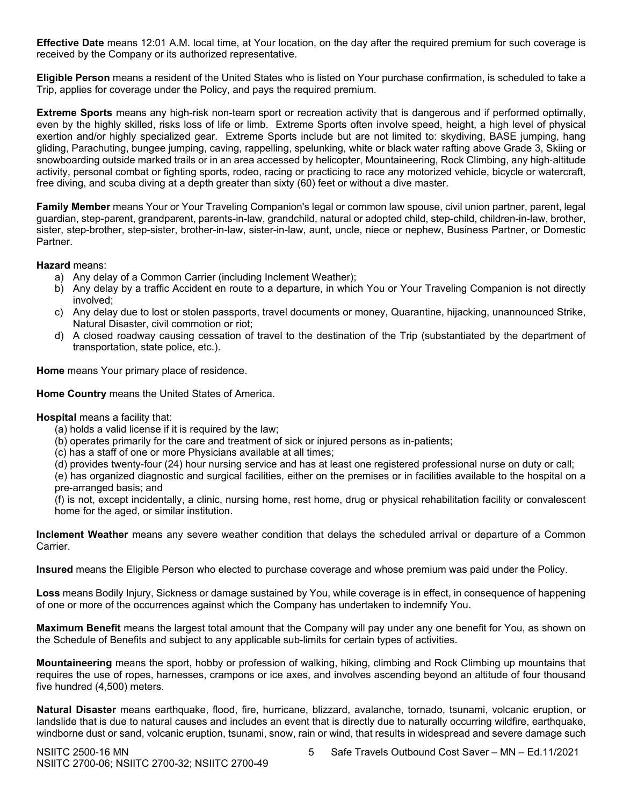**Effective Date** means 12:01 A.M. local time, at Your location, on the day after the required premium for such coverage is received by the Company or its authorized representative.

**Eligible Person** means a resident of the United States who is listed on Your purchase confirmation, is scheduled to take a Trip, applies for coverage under the Policy, and pays the required premium.

**Extreme Sports** means any high-risk non-team sport or recreation activity that is dangerous and if performed optimally, even by the highly skilled, risks loss of life or limb. Extreme Sports often involve speed, height, a high level of physical exertion and/or highly specialized gear. Extreme Sports include but are not limited to: skydiving, BASE jumping, hang gliding, Parachuting, bungee jumping, caving, rappelling, spelunking, white or black water rafting above Grade 3, Skiing or snowboarding outside marked trails or in an area accessed by helicopter, Mountaineering, Rock Climbing, any high‐altitude activity, personal combat or fighting sports, rodeo, racing or practicing to race any motorized vehicle, bicycle or watercraft, free diving, and scuba diving at a depth greater than sixty (60) feet or without a dive master.

**Family Member** means Your or Your Traveling Companion's legal or common law spouse, civil union partner, parent, legal guardian, step-parent, grandparent, parents-in-law, grandchild, natural or adopted child, step-child, children-in-law, brother, sister, step-brother, step-sister, brother-in-law, sister-in-law, aunt, uncle, niece or nephew, Business Partner, or Domestic Partner.

**Hazard** means:

- a) Any delay of a Common Carrier (including Inclement Weather);
- b) Any delay by a traffic Accident en route to a departure, in which You or Your Traveling Companion is not directly involved;
- c) Any delay due to lost or stolen passports, travel documents or money, Quarantine, hijacking, unannounced Strike, Natural Disaster, civil commotion or riot;
- d) A closed roadway causing cessation of travel to the destination of the Trip (substantiated by the department of transportation, state police, etc.).

**Home** means Your primary place of residence.

**Home Country** means the United States of America.

**Hospital** means a facility that:

- (a) holds a valid license if it is required by the law;
- (b) operates primarily for the care and treatment of sick or injured persons as in-patients;
- (c) has a staff of one or more Physicians available at all times;
- (d) provides twenty-four (24) hour nursing service and has at least one registered professional nurse on duty or call;

(e) has organized diagnostic and surgical facilities, either on the premises or in facilities available to the hospital on a pre-arranged basis; and

(f) is not, except incidentally, a clinic, nursing home, rest home, drug or physical rehabilitation facility or convalescent home for the aged, or similar institution.

**Inclement Weather** means any severe weather condition that delays the scheduled arrival or departure of a Common Carrier.

**Insured** means the Eligible Person who elected to purchase coverage and whose premium was paid under the Policy.

**Loss** means Bodily Injury, Sickness or damage sustained by You, while coverage is in effect, in consequence of happening of one or more of the occurrences against which the Company has undertaken to indemnify You.

**Maximum Benefit** means the largest total amount that the Company will pay under any one benefit for You, as shown on the Schedule of Benefits and subject to any applicable sub-limits for certain types of activities.

**Mountaineering** means the sport, hobby or profession of walking, hiking, climbing and Rock Climbing up mountains that requires the use of ropes, harnesses, crampons or ice axes, and involves ascending beyond an altitude of four thousand five hundred (4,500) meters.

**Natural Disaster** means earthquake, flood, fire, hurricane, blizzard, avalanche, tornado, tsunami, volcanic eruption, or landslide that is due to natural causes and includes an event that is directly due to naturally occurring wildfire, earthquake, windborne dust or sand, volcanic eruption, tsunami, snow, rain or wind, that results in widespread and severe damage such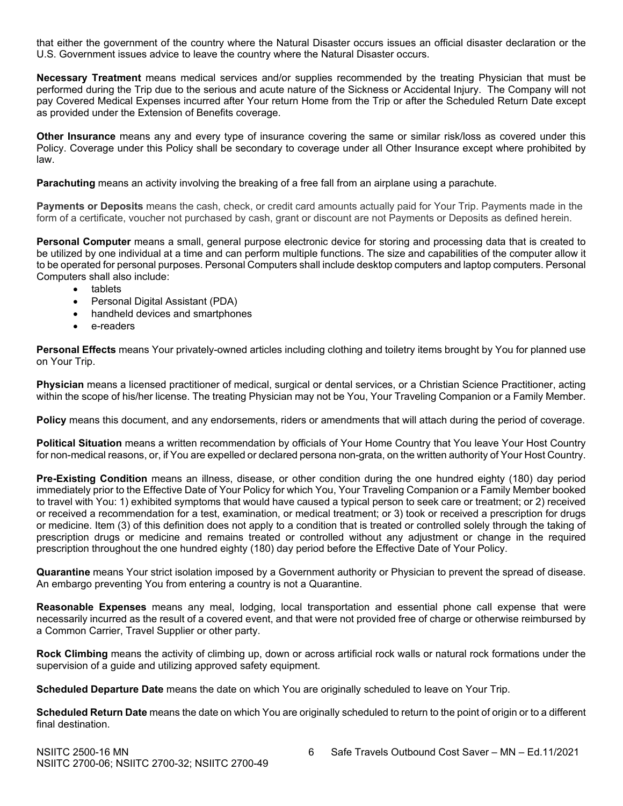that either the government of the country where the Natural Disaster occurs issues an official disaster declaration or the U.S. Government issues advice to leave the country where the Natural Disaster occurs.

**Necessary Treatment** means medical services and/or supplies recommended by the treating Physician that must be performed during the Trip due to the serious and acute nature of the Sickness or Accidental Injury. The Company will not pay Covered Medical Expenses incurred after Your return Home from the Trip or after the Scheduled Return Date except as provided under the Extension of Benefits coverage.

**Other Insurance** means any and every type of insurance covering the same or similar risk/loss as covered under this Policy. Coverage under this Policy shall be secondary to coverage under all Other Insurance except where prohibited by law.

**Parachuting** means an activity involving the breaking of a free fall from an airplane using a parachute.

**Payments or Deposits** means the cash, check, or credit card amounts actually paid for Your Trip. Payments made in the form of a certificate, voucher not purchased by cash, grant or discount are not Payments or Deposits as defined herein.

**Personal Computer** means a small, general purpose electronic device for storing and processing data that is created to be utilized by one individual at a time and can perform multiple functions. The size and capabilities of the computer allow it to be operated for personal purposes. Personal Computers shall include desktop computers and laptop computers. Personal Computers shall also include:

- tablets
- Personal Digital Assistant (PDA)
- handheld devices and smartphones
- e-readers

**Personal Effects** means Your privately-owned articles including clothing and toiletry items brought by You for planned use on Your Trip.

**Physician** means a licensed practitioner of medical, surgical or dental services, or a Christian Science Practitioner, acting within the scope of his/her license. The treating Physician may not be You, Your Traveling Companion or a Family Member.

**Policy** means this document, and any endorsements, riders or amendments that will attach during the period of coverage.

**Political Situation** means a written recommendation by officials of Your Home Country that You leave Your Host Country for non-medical reasons, or, if You are expelled or declared persona non-grata, on the written authority of Your Host Country.

**Pre-Existing Condition** means an illness, disease, or other condition during the one hundred eighty (180) day period immediately prior to the Effective Date of Your Policy for which You, Your Traveling Companion or a Family Member booked to travel with You: 1) exhibited symptoms that would have caused a typical person to seek care or treatment; or 2) received or received a recommendation for a test, examination, or medical treatment; or 3) took or received a prescription for drugs or medicine. Item (3) of this definition does not apply to a condition that is treated or controlled solely through the taking of prescription drugs or medicine and remains treated or controlled without any adjustment or change in the required prescription throughout the one hundred eighty (180) day period before the Effective Date of Your Policy.

**Quarantine** means Your strict isolation imposed by a Government authority or Physician to prevent the spread of disease. An embargo preventing You from entering a country is not a Quarantine.

**Reasonable Expenses** means any meal, lodging, local transportation and essential phone call expense that were necessarily incurred as the result of a covered event, and that were not provided free of charge or otherwise reimbursed by a Common Carrier, Travel Supplier or other party.

**Rock Climbing** means the activity of climbing up, down or across artificial rock walls or natural rock formations under the supervision of a guide and utilizing approved safety equipment.

**Scheduled Departure Date** means the date on which You are originally scheduled to leave on Your Trip.

**Scheduled Return Date** means the date on which You are originally scheduled to return to the point of origin or to a different final destination.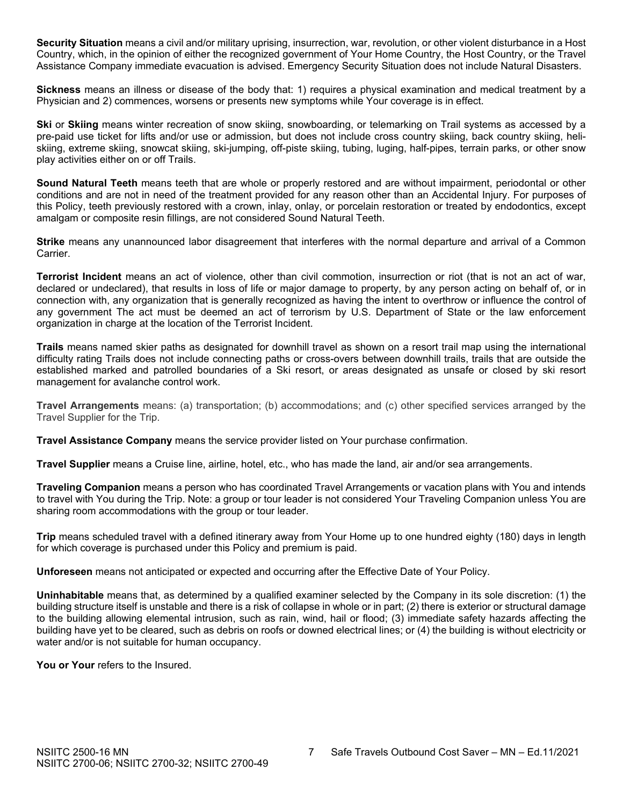**Security Situation** means a civil and/or military uprising, insurrection, war, revolution, or other violent disturbance in a Host Country, which, in the opinion of either the recognized government of Your Home Country, the Host Country, or the Travel Assistance Company immediate evacuation is advised. Emergency Security Situation does not include Natural Disasters.

**Sickness** means an illness or disease of the body that: 1) requires a physical examination and medical treatment by a Physician and 2) commences, worsens or presents new symptoms while Your coverage is in effect.

**Ski** or **Skiing** means winter recreation of snow skiing, snowboarding, or telemarking on Trail systems as accessed by a pre-paid use ticket for lifts and/or use or admission, but does not include cross country skiing, back country skiing, heliskiing, extreme skiing, snowcat skiing, ski-jumping, off-piste skiing, tubing, luging, half-pipes, terrain parks, or other snow play activities either on or off Trails.

**Sound Natural Teeth** means teeth that are whole or properly restored and are without impairment, periodontal or other conditions and are not in need of the treatment provided for any reason other than an Accidental Injury. For purposes of this Policy, teeth previously restored with a crown, inlay, onlay, or porcelain restoration or treated by endodontics, except amalgam or composite resin fillings, are not considered Sound Natural Teeth.

**Strike** means any unannounced labor disagreement that interferes with the normal departure and arrival of a Common Carrier.

**Terrorist Incident** means an act of violence, other than civil commotion, insurrection or riot (that is not an act of war, declared or undeclared), that results in loss of life or major damage to property, by any person acting on behalf of, or in connection with, any organization that is generally recognized as having the intent to overthrow or influence the control of any government The act must be deemed an act of terrorism by U.S. Department of State or the law enforcement organization in charge at the location of the Terrorist Incident.

**Trails** means named skier paths as designated for downhill travel as shown on a resort trail map using the international difficulty rating Trails does not include connecting paths or cross-overs between downhill trails, trails that are outside the established marked and patrolled boundaries of a Ski resort, or areas designated as unsafe or closed by ski resort management for avalanche control work.

**Travel Arrangements** means: (a) transportation; (b) accommodations; and (c) other specified services arranged by the Travel Supplier for the Trip.

**Travel Assistance Company** means the service provider listed on Your purchase confirmation.

**Travel Supplier** means a Cruise line, airline, hotel, etc., who has made the land, air and/or sea arrangements.

**Traveling Companion** means a person who has coordinated Travel Arrangements or vacation plans with You and intends to travel with You during the Trip. Note: a group or tour leader is not considered Your Traveling Companion unless You are sharing room accommodations with the group or tour leader.

**Trip** means scheduled travel with a defined itinerary away from Your Home up to one hundred eighty (180) days in length for which coverage is purchased under this Policy and premium is paid.

**Unforeseen** means not anticipated or expected and occurring after the Effective Date of Your Policy.

**Uninhabitable** means that, as determined by a qualified examiner selected by the Company in its sole discretion: (1) the building structure itself is unstable and there is a risk of collapse in whole or in part; (2) there is exterior or structural damage to the building allowing elemental intrusion, such as rain, wind, hail or flood; (3) immediate safety hazards affecting the building have yet to be cleared, such as debris on roofs or downed electrical lines; or (4) the building is without electricity or water and/or is not suitable for human occupancy.

You or Your refers to the Insured.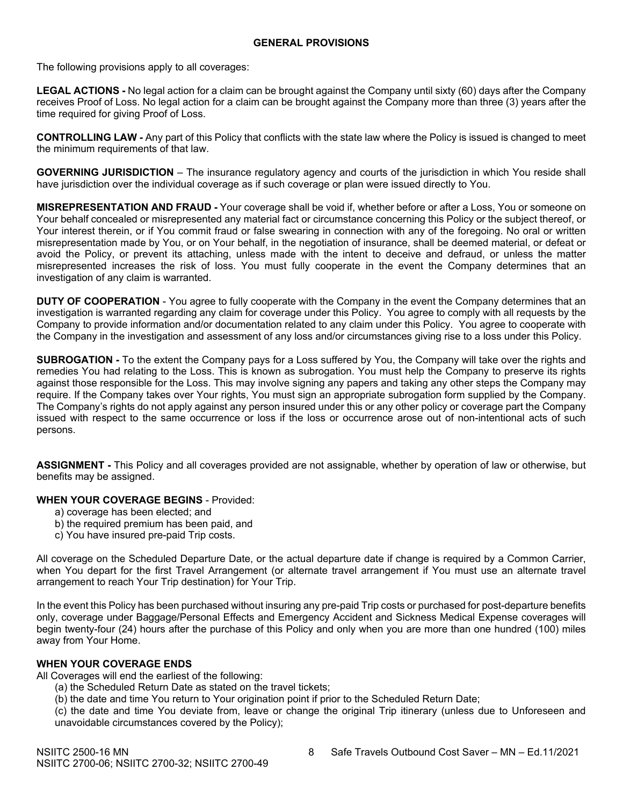The following provisions apply to all coverages:

**LEGAL ACTIONS -** No legal action for a claim can be brought against the Company until sixty (60) days after the Company receives Proof of Loss. No legal action for a claim can be brought against the Company more than three (3) years after the time required for giving Proof of Loss.

**CONTROLLING LAW -** Any part of this Policy that conflicts with the state law where the Policy is issued is changed to meet the minimum requirements of that law.

**GOVERNING JURISDICTION** – The insurance regulatory agency and courts of the jurisdiction in which You reside shall have jurisdiction over the individual coverage as if such coverage or plan were issued directly to You.

**MISREPRESENTATION AND FRAUD -** Your coverage shall be void if, whether before or after a Loss, You or someone on Your behalf concealed or misrepresented any material fact or circumstance concerning this Policy or the subject thereof, or Your interest therein, or if You commit fraud or false swearing in connection with any of the foregoing. No oral or written misrepresentation made by You, or on Your behalf, in the negotiation of insurance, shall be deemed material, or defeat or avoid the Policy, or prevent its attaching, unless made with the intent to deceive and defraud, or unless the matter misrepresented increases the risk of loss. You must fully cooperate in the event the Company determines that an investigation of any claim is warranted.

**DUTY OF COOPERATION** - You agree to fully cooperate with the Company in the event the Company determines that an investigation is warranted regarding any claim for coverage under this Policy. You agree to comply with all requests by the Company to provide information and/or documentation related to any claim under this Policy. You agree to cooperate with the Company in the investigation and assessment of any loss and/or circumstances giving rise to a loss under this Policy.

**SUBROGATION -** To the extent the Company pays for a Loss suffered by You, the Company will take over the rights and remedies You had relating to the Loss. This is known as subrogation. You must help the Company to preserve its rights against those responsible for the Loss. This may involve signing any papers and taking any other steps the Company may require. If the Company takes over Your rights, You must sign an appropriate subrogation form supplied by the Company. The Company's rights do not apply against any person insured under this or any other policy or coverage part the Company issued with respect to the same occurrence or loss if the loss or occurrence arose out of non-intentional acts of such persons.

**ASSIGNMENT -** This Policy and all coverages provided are not assignable, whether by operation of law or otherwise, but benefits may be assigned.

#### **WHEN YOUR COVERAGE BEGINS** - Provided:

- a) coverage has been elected; and
- b) the required premium has been paid, and
- c) You have insured pre-paid Trip costs.

All coverage on the Scheduled Departure Date, or the actual departure date if change is required by a Common Carrier, when You depart for the first Travel Arrangement (or alternate travel arrangement if You must use an alternate travel arrangement to reach Your Trip destination) for Your Trip.

In the event this Policy has been purchased without insuring any pre-paid Trip costs or purchased for post-departure benefits only, coverage under Baggage/Personal Effects and Emergency Accident and Sickness Medical Expense coverages will begin twenty-four (24) hours after the purchase of this Policy and only when you are more than one hundred (100) miles away from Your Home.

# **WHEN YOUR COVERAGE ENDS**

All Coverages will end the earliest of the following:

- (a) the Scheduled Return Date as stated on the travel tickets;
- (b) the date and time You return to Your origination point if prior to the Scheduled Return Date;

(c) the date and time You deviate from, leave or change the original Trip itinerary (unless due to Unforeseen and unavoidable circumstances covered by the Policy);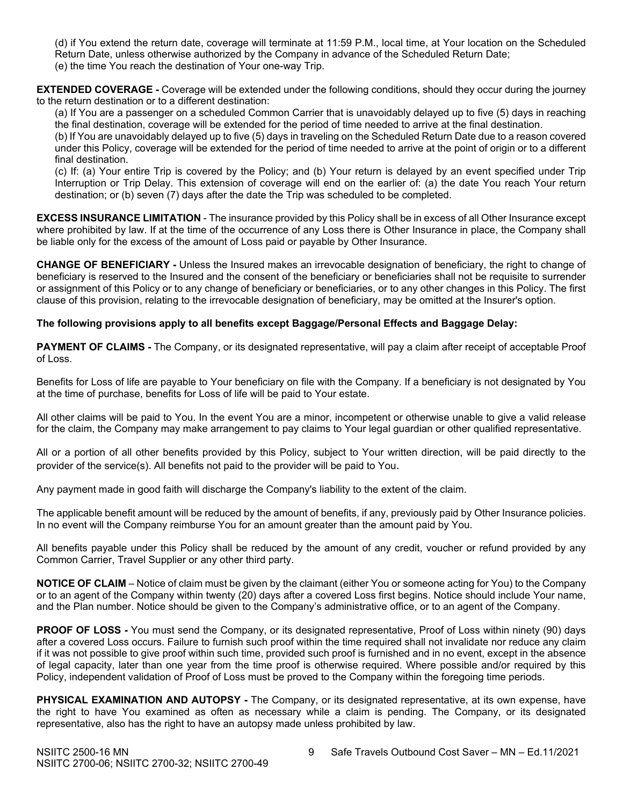(d) if You extend the return date, coverage will terminate at 11:59 P.M., local time, at Your location on the Scheduled Return Date, unless otherwise authorized by the Company in advance of the Scheduled Return Date; (e) the time You reach the destination of Your one-way Trip.

**EXTENDED COVERAGE -** Coverage will be extended under the following conditions, should they occur during the journey to the return destination or to a different destination:

(a) If You are a passenger on a scheduled Common Carrier that is unavoidably delayed up to five (5) days in reaching the final destination, coverage will be extended for the period of time needed to arrive at the final destination.

(b) If You are unavoidably delayed up to five (5) days in traveling on the Scheduled Return Date due to a reason covered under this Policy, coverage will be extended for the period of time needed to arrive at the point of origin or to a different final destination.

(c) If: (a) Your entire Trip is covered by the Policy; and (b) Your return is delayed by an event specified under Trip Interruption or Trip Delay. This extension of coverage will end on the earlier of: (a) the date You reach Your return destination; or (b) seven (7) days after the date the Trip was scheduled to be completed.

**EXCESS INSURANCE LIMITATION** - The insurance provided by this Policy shall be in excess of all Other Insurance except where prohibited by law. If at the time of the occurrence of any Loss there is Other Insurance in place, the Company shall be liable only for the excess of the amount of Loss paid or payable by Other Insurance.

**CHANGE OF BENEFICIARY -** Unless the Insured makes an irrevocable designation of beneficiary, the right to change of beneficiary is reserved to the Insured and the consent of the beneficiary or beneficiaries shall not be requisite to surrender or assignment of this Policy or to any change of beneficiary or beneficiaries, or to any other changes in this Policy. The first clause of this provision, relating to the irrevocable designation of beneficiary, may be omitted at the Insurer's option.

# **The following provisions apply to all benefits except Baggage/Personal Effects and Baggage Delay:**

**PAYMENT OF CLAIMS -** The Company, or its designated representative, will pay a claim after receipt of acceptable Proof of Loss.

Benefits for Loss of life are payable to Your beneficiary on file with the Company. If a beneficiary is not designated by You at the time of purchase, benefits for Loss of life will be paid to Your estate.

All other claims will be paid to You. In the event You are a minor, incompetent or otherwise unable to give a valid release for the claim, the Company may make arrangement to pay claims to Your legal guardian or other qualified representative.

All or a portion of all other benefits provided by this Policy, subject to Your written direction, will be paid directly to the provider of the service(s). All benefits not paid to the provider will be paid to You.

Any payment made in good faith will discharge the Company's liability to the extent of the claim.

The applicable benefit amount will be reduced by the amount of benefits, if any, previously paid by Other Insurance policies. In no event will the Company reimburse You for an amount greater than the amount paid by You.

All benefits payable under this Policy shall be reduced by the amount of any credit, voucher or refund provided by any Common Carrier, Travel Supplier or any other third party.

**NOTICE OF CLAIM** – Notice of claim must be given by the claimant (either You or someone acting for You) to the Company or to an agent of the Company within twenty (20) days after a covered Loss first begins. Notice should include Your name, and the Plan number. Notice should be given to the Company's administrative office, or to an agent of the Company.

**PROOF OF LOSS -** You must send the Company, or its designated representative, Proof of Loss within ninety (90) days after a covered Loss occurs. Failure to furnish such proof within the time required shall not invalidate nor reduce any claim if it was not possible to give proof within such time, provided such proof is furnished and in no event, except in the absence of legal capacity, later than one year from the time proof is otherwise required. Where possible and/or required by this Policy, independent validation of Proof of Loss must be proved to the Company within the foregoing time periods.

**PHYSICAL EXAMINATION AND AUTOPSY -** The Company, or its designated representative, at its own expense, have the right to have You examined as often as necessary while a claim is pending. The Company, or its designated representative, also has the right to have an autopsy made unless prohibited by law.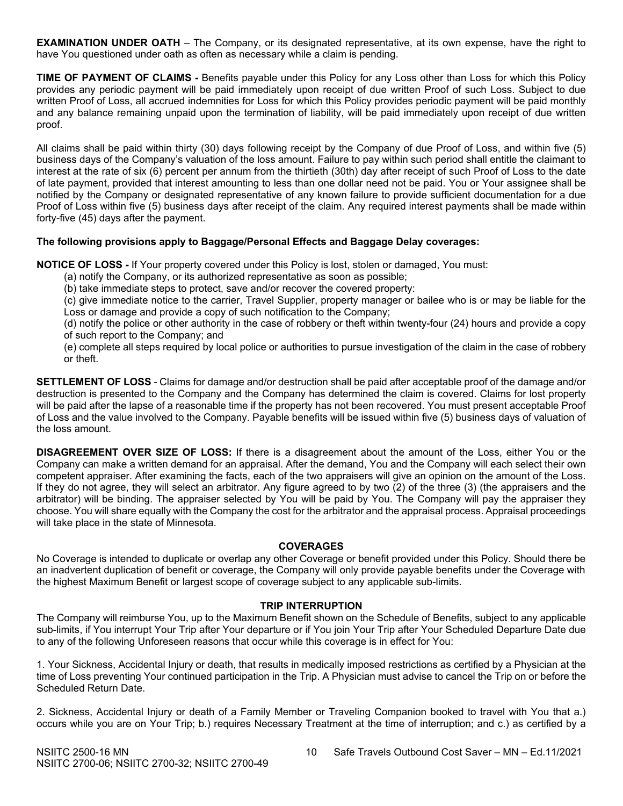**EXAMINATION UNDER OATH** – The Company, or its designated representative, at its own expense, have the right to have You questioned under oath as often as necessary while a claim is pending.

**TIME OF PAYMENT OF CLAIMS -** Benefits payable under this Policy for any Loss other than Loss for which this Policy provides any periodic payment will be paid immediately upon receipt of due written Proof of such Loss. Subject to due written Proof of Loss, all accrued indemnities for Loss for which this Policy provides periodic payment will be paid monthly and any balance remaining unpaid upon the termination of liability, will be paid immediately upon receipt of due written proof.

All claims shall be paid within thirty (30) days following receipt by the Company of due Proof of Loss, and within five (5) business days of the Company's valuation of the loss amount. Failure to pay within such period shall entitle the claimant to interest at the rate of six (6) percent per annum from the thirtieth (30th) day after receipt of such Proof of Loss to the date of late payment, provided that interest amounting to less than one dollar need not be paid. You or Your assignee shall be notified by the Company or designated representative of any known failure to provide sufficient documentation for a due Proof of Loss within five (5) business days after receipt of the claim. Any required interest payments shall be made within forty-five (45) days after the payment.

# **The following provisions apply to Baggage/Personal Effects and Baggage Delay coverages:**

**NOTICE OF LOSS -** If Your property covered under this Policy is lost, stolen or damaged, You must:

- (a) notify the Company, or its authorized representative as soon as possible;
- (b) take immediate steps to protect, save and/or recover the covered property:

(c) give immediate notice to the carrier, Travel Supplier, property manager or bailee who is or may be liable for the Loss or damage and provide a copy of such notification to the Company;

(d) notify the police or other authority in the case of robbery or theft within twenty-four (24) hours and provide a copy of such report to the Company; and

(e) complete all steps required by local police or authorities to pursue investigation of the claim in the case of robbery or theft.

**SETTLEMENT OF LOSS** - Claims for damage and/or destruction shall be paid after acceptable proof of the damage and/or destruction is presented to the Company and the Company has determined the claim is covered. Claims for lost property will be paid after the lapse of a reasonable time if the property has not been recovered. You must present acceptable Proof of Loss and the value involved to the Company. Payable benefits will be issued within five (5) business days of valuation of the loss amount.

**DISAGREEMENT OVER SIZE OF LOSS:** If there is a disagreement about the amount of the Loss, either You or the Company can make a written demand for an appraisal. After the demand, You and the Company will each select their own competent appraiser. After examining the facts, each of the two appraisers will give an opinion on the amount of the Loss. If they do not agree, they will select an arbitrator. Any figure agreed to by two (2) of the three (3) (the appraisers and the arbitrator) will be binding. The appraiser selected by You will be paid by You. The Company will pay the appraiser they choose. You will share equally with the Company the cost for the arbitrator and the appraisal process. Appraisal proceedings will take place in the state of Minnesota.

#### **COVERAGES**

No Coverage is intended to duplicate or overlap any other Coverage or benefit provided under this Policy. Should there be an inadvertent duplication of benefit or coverage, the Company will only provide payable benefits under the Coverage with the highest Maximum Benefit or largest scope of coverage subject to any applicable sub-limits.

#### **TRIP INTERRUPTION**

The Company will reimburse You, up to the Maximum Benefit shown on the Schedule of Benefits, subject to any applicable sub-limits, if You interrupt Your Trip after Your departure or if You join Your Trip after Your Scheduled Departure Date due to any of the following Unforeseen reasons that occur while this coverage is in effect for You:

1. Your Sickness, Accidental Injury or death, that results in medically imposed restrictions as certified by a Physician at the time of Loss preventing Your continued participation in the Trip. A Physician must advise to cancel the Trip on or before the Scheduled Return Date.

2. Sickness, Accidental Injury or death of a Family Member or Traveling Companion booked to travel with You that a.) occurs while you are on Your Trip; b.) requires Necessary Treatment at the time of interruption; and c.) as certified by a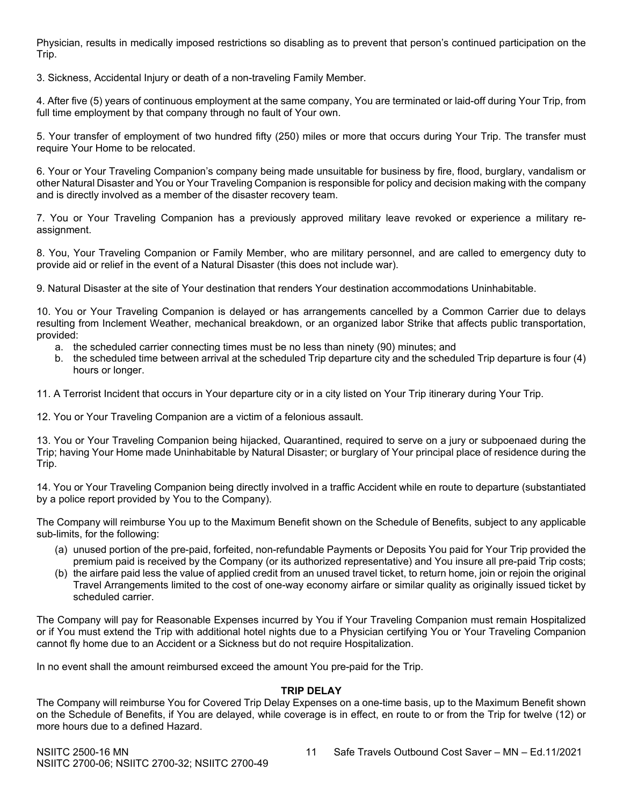Physician, results in medically imposed restrictions so disabling as to prevent that person's continued participation on the Trip.

3. Sickness, Accidental Injury or death of a non-traveling Family Member.

4. After five (5) years of continuous employment at the same company, You are terminated or laid-off during Your Trip, from full time employment by that company through no fault of Your own.

5. Your transfer of employment of two hundred fifty (250) miles or more that occurs during Your Trip. The transfer must require Your Home to be relocated.

6. Your or Your Traveling Companion's company being made unsuitable for business by fire, flood, burglary, vandalism or other Natural Disaster and You or Your Traveling Companion is responsible for policy and decision making with the company and is directly involved as a member of the disaster recovery team.

7. You or Your Traveling Companion has a previously approved military leave revoked or experience a military reassignment.

8. You, Your Traveling Companion or Family Member, who are military personnel, and are called to emergency duty to provide aid or relief in the event of a Natural Disaster (this does not include war).

9. Natural Disaster at the site of Your destination that renders Your destination accommodations Uninhabitable.

10. You or Your Traveling Companion is delayed or has arrangements cancelled by a Common Carrier due to delays resulting from Inclement Weather, mechanical breakdown, or an organized labor Strike that affects public transportation, provided:

- a. the scheduled carrier connecting times must be no less than ninety (90) minutes; and
- b. the scheduled time between arrival at the scheduled Trip departure city and the scheduled Trip departure is four (4) hours or longer.

11. A Terrorist Incident that occurs in Your departure city or in a city listed on Your Trip itinerary during Your Trip.

12. You or Your Traveling Companion are a victim of a felonious assault.

13. You or Your Traveling Companion being hijacked, Quarantined, required to serve on a jury or subpoenaed during the Trip; having Your Home made Uninhabitable by Natural Disaster; or burglary of Your principal place of residence during the Trip.

14. You or Your Traveling Companion being directly involved in a traffic Accident while en route to departure (substantiated by a police report provided by You to the Company).

The Company will reimburse You up to the Maximum Benefit shown on the Schedule of Benefits, subject to any applicable sub-limits, for the following:

- (a) unused portion of the pre-paid, forfeited, non-refundable Payments or Deposits You paid for Your Trip provided the premium paid is received by the Company (or its authorized representative) and You insure all pre-paid Trip costs;
- (b) the airfare paid less the value of applied credit from an unused travel ticket, to return home, join or rejoin the original Travel Arrangements limited to the cost of one-way economy airfare or similar quality as originally issued ticket by scheduled carrier.

The Company will pay for Reasonable Expenses incurred by You if Your Traveling Companion must remain Hospitalized or if You must extend the Trip with additional hotel nights due to a Physician certifying You or Your Traveling Companion cannot fly home due to an Accident or a Sickness but do not require Hospitalization.

In no event shall the amount reimbursed exceed the amount You pre-paid for the Trip.

# **TRIP DELAY**

The Company will reimburse You for Covered Trip Delay Expenses on a one-time basis, up to the Maximum Benefit shown on the Schedule of Benefits, if You are delayed, while coverage is in effect, en route to or from the Trip for twelve (12) or more hours due to a defined Hazard.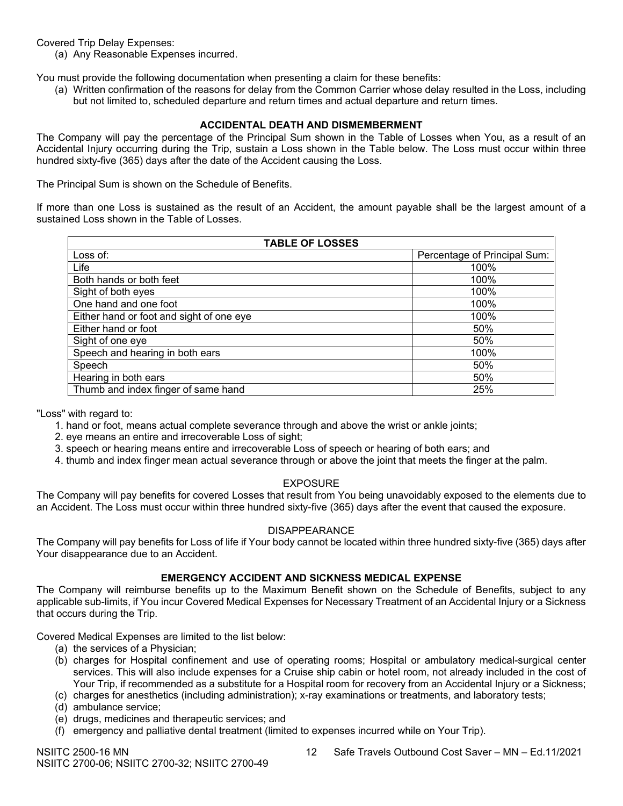Covered Trip Delay Expenses:

(a) Any Reasonable Expenses incurred.

You must provide the following documentation when presenting a claim for these benefits:

(a) Written confirmation of the reasons for delay from the Common Carrier whose delay resulted in the Loss, including but not limited to, scheduled departure and return times and actual departure and return times.

## **ACCIDENTAL DEATH AND DISMEMBERMENT**

The Company will pay the percentage of the Principal Sum shown in the Table of Losses when You, as a result of an Accidental Injury occurring during the Trip, sustain a Loss shown in the Table below. The Loss must occur within three hundred sixty-five (365) days after the date of the Accident causing the Loss.

The Principal Sum is shown on the Schedule of Benefits.

If more than one Loss is sustained as the result of an Accident, the amount payable shall be the largest amount of a sustained Loss shown in the Table of Losses.

| <b>TABLE OF LOSSES</b>                   |                              |  |  |
|------------------------------------------|------------------------------|--|--|
| Loss of:                                 | Percentage of Principal Sum: |  |  |
| Life                                     | 100%                         |  |  |
| Both hands or both feet                  | 100%                         |  |  |
| Sight of both eyes                       | 100%                         |  |  |
| One hand and one foot                    | 100%                         |  |  |
| Either hand or foot and sight of one eye | 100%                         |  |  |
| Either hand or foot                      | 50%                          |  |  |
| Sight of one eye                         | 50%                          |  |  |
| Speech and hearing in both ears          | 100%                         |  |  |
| Speech                                   | 50%                          |  |  |
| Hearing in both ears                     | 50%                          |  |  |
| Thumb and index finger of same hand      | 25%                          |  |  |

"Loss" with regard to:

- 1. hand or foot, means actual complete severance through and above the wrist or ankle joints;
- 2. eye means an entire and irrecoverable Loss of sight;
- 3. speech or hearing means entire and irrecoverable Loss of speech or hearing of both ears; and
- 4. thumb and index finger mean actual severance through or above the joint that meets the finger at the palm.

# EXPOSURE

The Company will pay benefits for covered Losses that result from You being unavoidably exposed to the elements due to an Accident. The Loss must occur within three hundred sixty-five (365) days after the event that caused the exposure.

#### DISAPPEARANCE

The Company will pay benefits for Loss of life if Your body cannot be located within three hundred sixty-five (365) days after Your disappearance due to an Accident.

#### **EMERGENCY ACCIDENT AND SICKNESS MEDICAL EXPENSE**

The Company will reimburse benefits up to the Maximum Benefit shown on the Schedule of Benefits, subject to any applicable sub-limits, if You incur Covered Medical Expenses for Necessary Treatment of an Accidental Injury or a Sickness that occurs during the Trip.

Covered Medical Expenses are limited to the list below:

- (a) the services of a Physician;
- (b) charges for Hospital confinement and use of operating rooms; Hospital or ambulatory medical-surgical center services. This will also include expenses for a Cruise ship cabin or hotel room, not already included in the cost of Your Trip, if recommended as a substitute for a Hospital room for recovery from an Accidental Injury or a Sickness;
- (c) charges for anesthetics (including administration); x-ray examinations or treatments, and laboratory tests;
- (d) ambulance service;
- (e) drugs, medicines and therapeutic services; and
- (f) emergency and palliative dental treatment (limited to expenses incurred while on Your Trip).

NSIITC 2500-16 MN 12 Safe Travels Outbound Cost Saver – MN – Ed.11/2021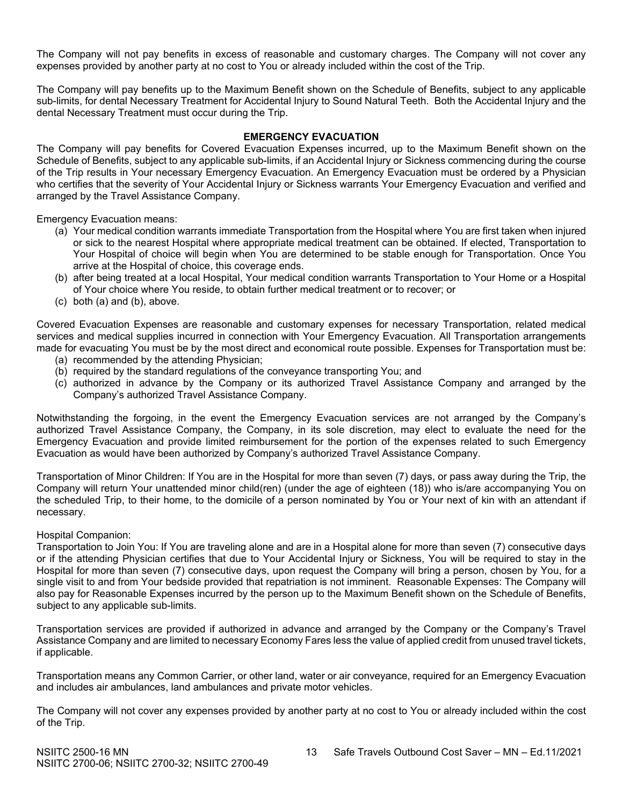The Company will not pay benefits in excess of reasonable and customary charges. The Company will not cover any expenses provided by another party at no cost to You or already included within the cost of the Trip.

The Company will pay benefits up to the Maximum Benefit shown on the Schedule of Benefits, subject to any applicable sub-limits, for dental Necessary Treatment for Accidental Injury to Sound Natural Teeth. Both the Accidental Injury and the dental Necessary Treatment must occur during the Trip.

# **EMERGENCY EVACUATION**

The Company will pay benefits for Covered Evacuation Expenses incurred, up to the Maximum Benefit shown on the Schedule of Benefits, subject to any applicable sub-limits, if an Accidental Injury or Sickness commencing during the course of the Trip results in Your necessary Emergency Evacuation. An Emergency Evacuation must be ordered by a Physician who certifies that the severity of Your Accidental Injury or Sickness warrants Your Emergency Evacuation and verified and arranged by the Travel Assistance Company.

Emergency Evacuation means:

- (a) Your medical condition warrants immediate Transportation from the Hospital where You are first taken when injured or sick to the nearest Hospital where appropriate medical treatment can be obtained. If elected, Transportation to Your Hospital of choice will begin when You are determined to be stable enough for Transportation. Once You arrive at the Hospital of choice, this coverage ends.
- (b) after being treated at a local Hospital, Your medical condition warrants Transportation to Your Home or a Hospital of Your choice where You reside, to obtain further medical treatment or to recover; or
- (c) both (a) and (b), above.

Covered Evacuation Expenses are reasonable and customary expenses for necessary Transportation, related medical services and medical supplies incurred in connection with Your Emergency Evacuation. All Transportation arrangements made for evacuating You must be by the most direct and economical route possible. Expenses for Transportation must be:

- (a) recommended by the attending Physician;
- (b) required by the standard regulations of the conveyance transporting You; and
- (c) authorized in advance by the Company or its authorized Travel Assistance Company and arranged by the Company's authorized Travel Assistance Company.

Notwithstanding the forgoing, in the event the Emergency Evacuation services are not arranged by the Company's authorized Travel Assistance Company, the Company, in its sole discretion, may elect to evaluate the need for the Emergency Evacuation and provide limited reimbursement for the portion of the expenses related to such Emergency Evacuation as would have been authorized by Company's authorized Travel Assistance Company.

Transportation of Minor Children: If You are in the Hospital for more than seven (7) days, or pass away during the Trip, the Company will return Your unattended minor child(ren) (under the age of eighteen (18)) who is/are accompanying You on the scheduled Trip, to their home, to the domicile of a person nominated by You or Your next of kin with an attendant if necessary.

#### Hospital Companion:

Transportation to Join You: If You are traveling alone and are in a Hospital alone for more than seven (7) consecutive days or if the attending Physician certifies that due to Your Accidental Injury or Sickness, You will be required to stay in the Hospital for more than seven (7) consecutive days, upon request the Company will bring a person, chosen by You, for a single visit to and from Your bedside provided that repatriation is not imminent. Reasonable Expenses: The Company will also pay for Reasonable Expenses incurred by the person up to the Maximum Benefit shown on the Schedule of Benefits, subject to any applicable sub-limits.

Transportation services are provided if authorized in advance and arranged by the Company or the Company's Travel Assistance Company and are limited to necessary Economy Fares less the value of applied credit from unused travel tickets, if applicable.

Transportation means any Common Carrier, or other land, water or air conveyance, required for an Emergency Evacuation and includes air ambulances, land ambulances and private motor vehicles.

The Company will not cover any expenses provided by another party at no cost to You or already included within the cost of the Trip.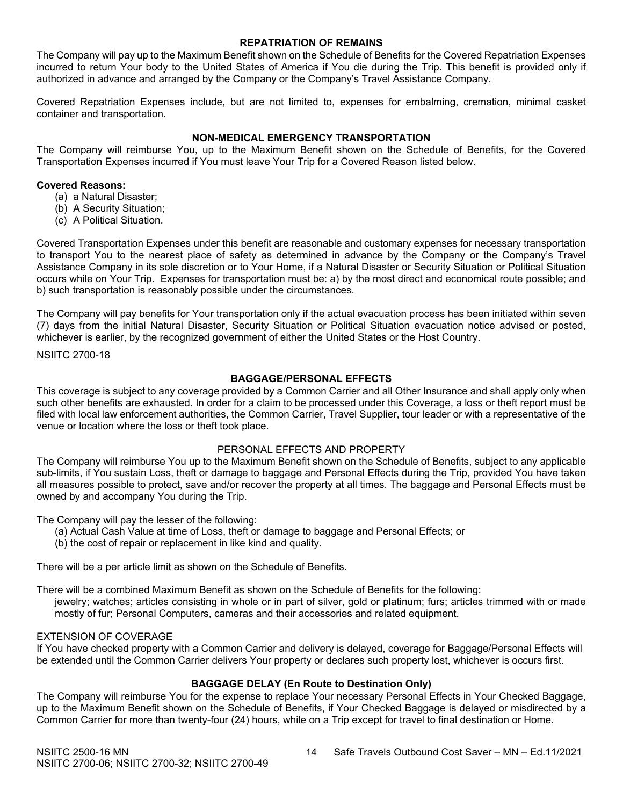#### **REPATRIATION OF REMAINS**

The Company will pay up to the Maximum Benefit shown on the Schedule of Benefits for the Covered Repatriation Expenses incurred to return Your body to the United States of America if You die during the Trip. This benefit is provided only if authorized in advance and arranged by the Company or the Company's Travel Assistance Company.

Covered Repatriation Expenses include, but are not limited to, expenses for embalming, cremation, minimal casket container and transportation.

# **NON-MEDICAL EMERGENCY TRANSPORTATION**

The Company will reimburse You, up to the Maximum Benefit shown on the Schedule of Benefits, for the Covered Transportation Expenses incurred if You must leave Your Trip for a Covered Reason listed below.

#### **Covered Reasons:**

- (a) a Natural Disaster;
- (b) A Security Situation;
- (c) A Political Situation.

Covered Transportation Expenses under this benefit are reasonable and customary expenses for necessary transportation to transport You to the nearest place of safety as determined in advance by the Company or the Company's Travel Assistance Company in its sole discretion or to Your Home, if a Natural Disaster or Security Situation or Political Situation occurs while on Your Trip. Expenses for transportation must be: a) by the most direct and economical route possible; and b) such transportation is reasonably possible under the circumstances.

The Company will pay benefits for Your transportation only if the actual evacuation process has been initiated within seven (7) days from the initial Natural Disaster, Security Situation or Political Situation evacuation notice advised or posted, whichever is earlier, by the recognized government of either the United States or the Host Country.

#### NSIITC 2700-18

**BAGGAGE/PERSONAL EFFECTS**

This coverage is subject to any coverage provided by a Common Carrier and all Other Insurance and shall apply only when such other benefits are exhausted. In order for a claim to be processed under this Coverage, a loss or theft report must be filed with local law enforcement authorities, the Common Carrier, Travel Supplier, tour leader or with a representative of the venue or location where the loss or theft took place.

# PERSONAL EFFECTS AND PROPERTY

The Company will reimburse You up to the Maximum Benefit shown on the Schedule of Benefits, subject to any applicable sub-limits, if You sustain Loss, theft or damage to baggage and Personal Effects during the Trip, provided You have taken all measures possible to protect, save and/or recover the property at all times. The baggage and Personal Effects must be owned by and accompany You during the Trip.

The Company will pay the lesser of the following:

- (a) Actual Cash Value at time of Loss, theft or damage to baggage and Personal Effects; or
- (b) the cost of repair or replacement in like kind and quality.

There will be a per article limit as shown on the Schedule of Benefits.

There will be a combined Maximum Benefit as shown on the Schedule of Benefits for the following:

jewelry; watches; articles consisting in whole or in part of silver, gold or platinum; furs; articles trimmed with or made mostly of fur; Personal Computers, cameras and their accessories and related equipment.

#### EXTENSION OF COVERAGE

If You have checked property with a Common Carrier and delivery is delayed, coverage for Baggage/Personal Effects will be extended until the Common Carrier delivers Your property or declares such property lost, whichever is occurs first.

# **BAGGAGE DELAY (En Route to Destination Only)**

The Company will reimburse You for the expense to replace Your necessary Personal Effects in Your Checked Baggage, up to the Maximum Benefit shown on the Schedule of Benefits, if Your Checked Baggage is delayed or misdirected by a Common Carrier for more than twenty-four (24) hours, while on a Trip except for travel to final destination or Home.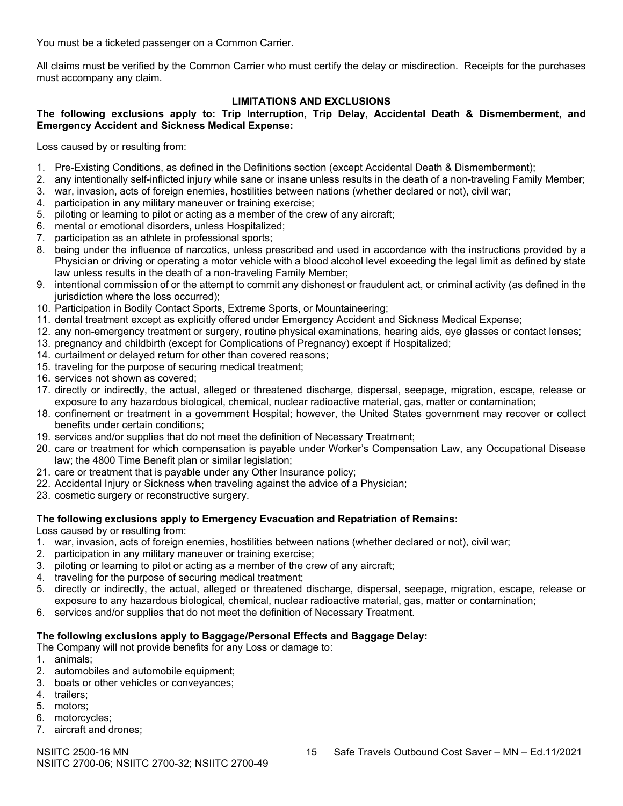You must be a ticketed passenger on a Common Carrier.

All claims must be verified by the Common Carrier who must certify the delay or misdirection. Receipts for the purchases must accompany any claim.

#### **LIMITATIONS AND EXCLUSIONS**

**The following exclusions apply to: Trip Interruption, Trip Delay, Accidental Death & Dismemberment, and Emergency Accident and Sickness Medical Expense:**

Loss caused by or resulting from:

- 1. Pre-Existing Conditions, as defined in the Definitions section (except Accidental Death & Dismemberment);
- 2. any intentionally self-inflicted injury while sane or insane unless results in the death of a non-traveling Family Member;
- 3. war, invasion, acts of foreign enemies, hostilities between nations (whether declared or not), civil war;
- 4. participation in any military maneuver or training exercise;
- 5. piloting or learning to pilot or acting as a member of the crew of any aircraft;
- 6. mental or emotional disorders, unless Hospitalized;
- 7. participation as an athlete in professional sports;
- 8. being under the influence of narcotics, unless prescribed and used in accordance with the instructions provided by a Physician or driving or operating a motor vehicle with a blood alcohol level exceeding the legal limit as defined by state law unless results in the death of a non-traveling Family Member;
- 9. intentional commission of or the attempt to commit any dishonest or fraudulent act, or criminal activity (as defined in the jurisdiction where the loss occurred);
- 10. Participation in Bodily Contact Sports, Extreme Sports, or Mountaineering;
- 11. dental treatment except as explicitly offered under Emergency Accident and Sickness Medical Expense;
- 12. any non-emergency treatment or surgery, routine physical examinations, hearing aids, eye glasses or contact lenses;
- 13. pregnancy and childbirth (except for Complications of Pregnancy) except if Hospitalized;
- 14. curtailment or delayed return for other than covered reasons;
- 15. traveling for the purpose of securing medical treatment;
- 16. services not shown as covered;
- 17. directly or indirectly, the actual, alleged or threatened discharge, dispersal, seepage, migration, escape, release or exposure to any hazardous biological, chemical, nuclear radioactive material, gas, matter or contamination;
- 18. confinement or treatment in a government Hospital; however, the United States government may recover or collect benefits under certain conditions;
- 19. services and/or supplies that do not meet the definition of Necessary Treatment;
- 20. care or treatment for which compensation is payable under Worker's Compensation Law, any Occupational Disease law; the 4800 Time Benefit plan or similar legislation;
- 21. care or treatment that is payable under any Other Insurance policy;
- 22. Accidental Injury or Sickness when traveling against the advice of a Physician;
- 23. cosmetic surgery or reconstructive surgery.

# **The following exclusions apply to Emergency Evacuation and Repatriation of Remains:**

Loss caused by or resulting from:

- 1. war, invasion, acts of foreign enemies, hostilities between nations (whether declared or not), civil war;
- 2. participation in any military maneuver or training exercise;
- 3. piloting or learning to pilot or acting as a member of the crew of any aircraft;
- 4. traveling for the purpose of securing medical treatment;
- 5. directly or indirectly, the actual, alleged or threatened discharge, dispersal, seepage, migration, escape, release or exposure to any hazardous biological, chemical, nuclear radioactive material, gas, matter or contamination;
- 6. services and/or supplies that do not meet the definition of Necessary Treatment.

# **The following exclusions apply to Baggage/Personal Effects and Baggage Delay:**

The Company will not provide benefits for any Loss or damage to:

- 1. animals;
- 2. automobiles and automobile equipment;
- 3. boats or other vehicles or conveyances;
- 4. trailers;
- 5. motors;
- 6. motorcycles;
- 7. aircraft and drones;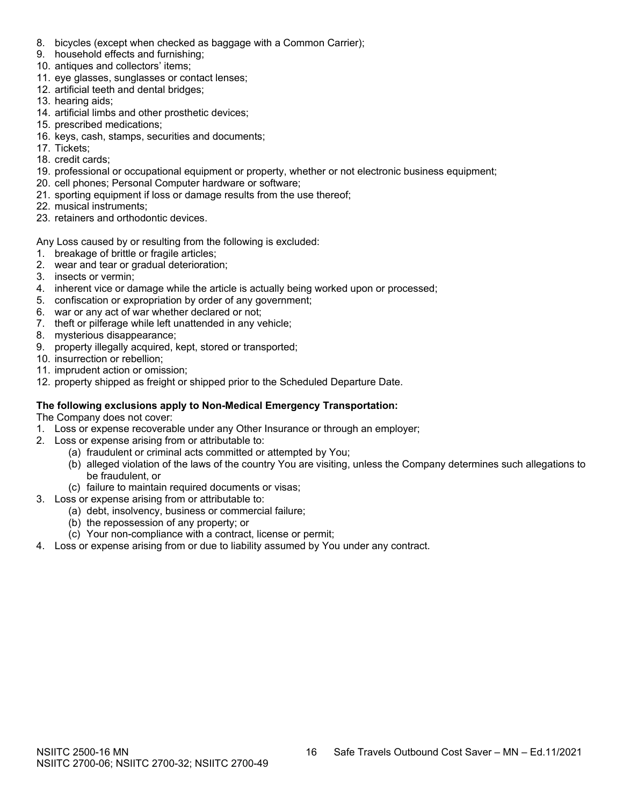- 8. bicycles (except when checked as baggage with a Common Carrier);
- 9. household effects and furnishing;
- 10. antiques and collectors' items;
- 11. eye glasses, sunglasses or contact lenses;
- 12. artificial teeth and dental bridges;
- 13. hearing aids;
- 14. artificial limbs and other prosthetic devices;
- 15. prescribed medications;
- 16. keys, cash, stamps, securities and documents;
- 17. Tickets;
- 18. credit cards;
- 19. professional or occupational equipment or property, whether or not electronic business equipment;
- 20. cell phones; Personal Computer hardware or software;
- 21. sporting equipment if loss or damage results from the use thereof;
- 22. musical instruments;
- 23. retainers and orthodontic devices.

Any Loss caused by or resulting from the following is excluded:

- 1. breakage of brittle or fragile articles;
- 2. wear and tear or gradual deterioration;
- 3. insects or vermin;
- 4. inherent vice or damage while the article is actually being worked upon or processed;
- 5. confiscation or expropriation by order of any government;
- 6. war or any act of war whether declared or not;
- 7. theft or pilferage while left unattended in any vehicle;
- 8. mysterious disappearance;
- 9. property illegally acquired, kept, stored or transported;
- 10. insurrection or rebellion;
- 11. imprudent action or omission;
- 12. property shipped as freight or shipped prior to the Scheduled Departure Date.

# **The following exclusions apply to Non-Medical Emergency Transportation:**

The Company does not cover:

- 1. Loss or expense recoverable under any Other Insurance or through an employer;
- 2. Loss or expense arising from or attributable to:
	- (a) fraudulent or criminal acts committed or attempted by You;
		- (b) alleged violation of the laws of the country You are visiting, unless the Company determines such allegations to be fraudulent, or
	- (c) failure to maintain required documents or visas;
- 3. Loss or expense arising from or attributable to:
	- (a) debt, insolvency, business or commercial failure;
	- (b) the repossession of any property; or
	- (c) Your non-compliance with a contract, license or permit;
- 4. Loss or expense arising from or due to liability assumed by You under any contract.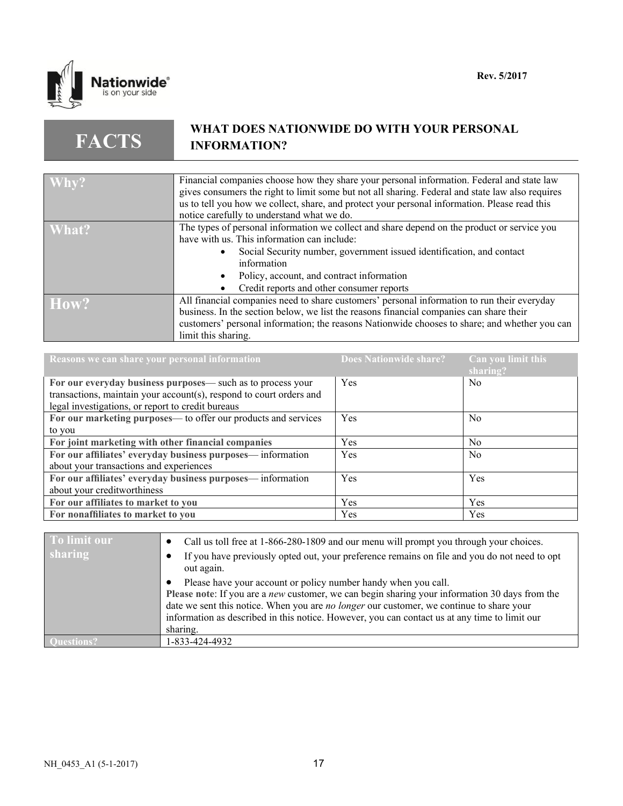

**FACTS**

# **WHAT DOES NATIONWIDE DO WITH YOUR PERSONAL INFORMATION?**

| Why?  | Financial companies choose how they share your personal information. Federal and state law       |
|-------|--------------------------------------------------------------------------------------------------|
|       | gives consumers the right to limit some but not all sharing. Federal and state law also requires |
|       | us to tell you how we collect, share, and protect your personal information. Please read this    |
|       | notice carefully to understand what we do.                                                       |
| What? | The types of personal information we collect and share depend on the product or service you      |
|       | have with us. This information can include:                                                      |
|       | Social Security number, government issued identification, and contact                            |
|       | information                                                                                      |
|       | Policy, account, and contract information                                                        |
|       | Credit reports and other consumer reports                                                        |
| How?  | All financial companies need to share customers' personal information to run their everyday      |
|       | business. In the section below, we list the reasons financial companies can share their          |
|       | customers' personal information; the reasons Nationwide chooses to share; and whether you can    |
|       | limit this sharing.                                                                              |

| Reasons we can share your personal information                      | Does Nationwide share? | Can you limit this<br>sharing? |
|---------------------------------------------------------------------|------------------------|--------------------------------|
| For our everyday business purposes— such as to process your         | Yes                    | N <sub>0</sub>                 |
| transactions, maintain your account(s), respond to court orders and |                        |                                |
| legal investigations, or report to credit bureaus                   |                        |                                |
| For our marketing purposes— to offer our products and services      | Yes                    | N <sub>0</sub>                 |
| to you                                                              |                        |                                |
| For joint marketing with other financial companies                  | Yes                    | No.                            |
| For our affiliates' everyday business purposes-information          | Yes                    | N <sub>0</sub>                 |
| about your transactions and experiences                             |                        |                                |
| For our affiliates' everyday business purposes—information          | Yes                    | Yes                            |
| about your creditworthiness                                         |                        |                                |
| For our affiliates to market to you                                 | Yes                    | Yes                            |
| For nonaffiliates to market to you                                  | Yes                    | Yes                            |

| To limit our | Call us toll free at 1-866-280-1809 and our menu will prompt you through your choices.                                                                                                                                                                                                                                                                                           |
|--------------|----------------------------------------------------------------------------------------------------------------------------------------------------------------------------------------------------------------------------------------------------------------------------------------------------------------------------------------------------------------------------------|
| sharing      | If you have previously opted out, your preference remains on file and you do not need to opt<br>out again.                                                                                                                                                                                                                                                                       |
|              | Please have your account or policy number handy when you call.<br>Please note: If you are a <i>new</i> customer, we can begin sharing your information 30 days from the<br>date we sent this notice. When you are no longer our customer, we continue to share your<br>information as described in this notice. However, you can contact us at any time to limit our<br>sharing. |
|              | 1-833-424-4932                                                                                                                                                                                                                                                                                                                                                                   |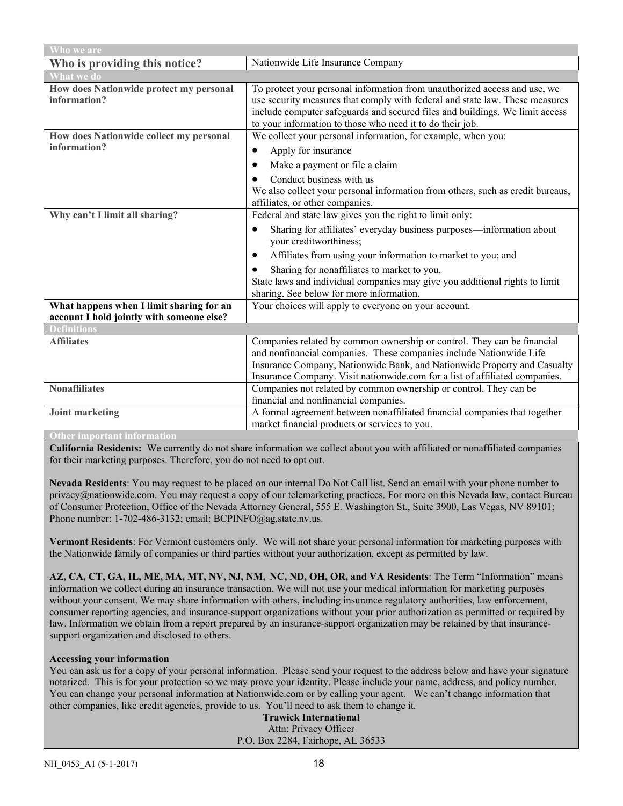| Who we are                                                                            |                                                                                                                                                                                                                                                                                                           |  |
|---------------------------------------------------------------------------------------|-----------------------------------------------------------------------------------------------------------------------------------------------------------------------------------------------------------------------------------------------------------------------------------------------------------|--|
| Who is providing this notice?                                                         | Nationwide Life Insurance Company                                                                                                                                                                                                                                                                         |  |
| <b>What we do</b>                                                                     |                                                                                                                                                                                                                                                                                                           |  |
| How does Nationwide protect my personal<br>information?                               | To protect your personal information from unauthorized access and use, we<br>use security measures that comply with federal and state law. These measures<br>include computer safeguards and secured files and buildings. We limit access<br>to your information to those who need it to do their job.    |  |
| How does Nationwide collect my personal                                               | We collect your personal information, for example, when you:                                                                                                                                                                                                                                              |  |
| information?                                                                          | Apply for insurance<br>٠                                                                                                                                                                                                                                                                                  |  |
|                                                                                       | Make a payment or file a claim<br>٠                                                                                                                                                                                                                                                                       |  |
|                                                                                       | Conduct business with us<br>We also collect your personal information from others, such as credit bureaus,<br>affiliates, or other companies.                                                                                                                                                             |  |
| Why can't I limit all sharing?                                                        | Federal and state law gives you the right to limit only:                                                                                                                                                                                                                                                  |  |
|                                                                                       | Sharing for affiliates' everyday business purposes—information about<br>$\bullet$<br>your creditworthiness;                                                                                                                                                                                               |  |
|                                                                                       | Affiliates from using your information to market to you; and<br>$\bullet$                                                                                                                                                                                                                                 |  |
|                                                                                       | Sharing for nonaffiliates to market to you.<br>$\bullet$                                                                                                                                                                                                                                                  |  |
|                                                                                       | State laws and individual companies may give you additional rights to limit                                                                                                                                                                                                                               |  |
|                                                                                       | sharing. See below for more information.                                                                                                                                                                                                                                                                  |  |
| What happens when I limit sharing for an<br>account I hold jointly with someone else? | Your choices will apply to everyone on your account.                                                                                                                                                                                                                                                      |  |
| <b>Definitions</b>                                                                    |                                                                                                                                                                                                                                                                                                           |  |
| <b>Affiliates</b>                                                                     | Companies related by common ownership or control. They can be financial<br>and nonfinancial companies. These companies include Nationwide Life<br>Insurance Company, Nationwide Bank, and Nationwide Property and Casualty<br>Insurance Company. Visit nationwide.com for a list of affiliated companies. |  |
| <b>Nonaffiliates</b>                                                                  | Companies not related by common ownership or control. They can be<br>financial and nonfinancial companies.                                                                                                                                                                                                |  |
| <b>Joint marketing</b>                                                                | A formal agreement between nonaffiliated financial companies that together<br>market financial products or services to you.                                                                                                                                                                               |  |
| <b>Other important information</b>                                                    |                                                                                                                                                                                                                                                                                                           |  |

**California Residents:** We currently do not share information we collect about you with affiliated or nonaffiliated companies for their marketing purposes. Therefore, you do not need to opt out.

**Nevada Residents**: You may request to be placed on our internal Do Not Call list. Send an email with your phone number to privacy@nationwide.com. You may request a copy of our telemarketing practices. For more on this Nevada law, contact Bureau of Consumer Protection, Office of the Nevada Attorney General, 555 E. Washington St., Suite 3900, Las Vegas, NV 89101; Phone number: 1-702-486-3132; email: BCPINFO@ag.state.nv.us.

**Vermont Residents**: For Vermont customers only. We will not share your personal information for marketing purposes with the Nationwide family of companies or third parties without your authorization, except as permitted by law.

**AZ, CA, CT, GA, IL, ME, MA, MT, NV, NJ, NM, NC, ND, OH, OR, and VA Residents**: The Term "Information" means information we collect during an insurance transaction. We will not use your medical information for marketing purposes without your consent. We may share information with others, including insurance regulatory authorities, law enforcement, consumer reporting agencies, and insurance-support organizations without your prior authorization as permitted or required by law. Information we obtain from a report prepared by an insurance-support organization may be retained by that insurancesupport organization and disclosed to others.

#### **Accessing your information**

You can ask us for a copy of your personal information. Please send your request to the address below and have your signature notarized. This is for your protection so we may prove your identity. Please include your name, address, and policy number. You can change your personal information at Nationwide.com or by calling your agent. We can't change information that other companies, like credit agencies, provide to us. You'll need to ask them to change it.

**Trawick International** Attn: Privacy Officer P.O. Box 2284, Fairhope, AL 36533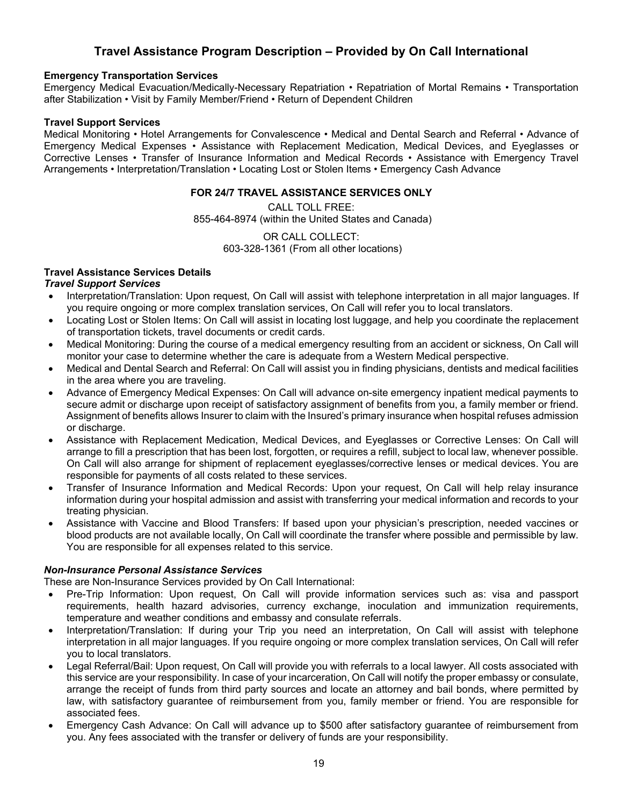# **Travel Assistance Program Description – Provided by On Call International**

## **Emergency Transportation Services**

Emergency Medical Evacuation/Medically-Necessary Repatriation • Repatriation of Mortal Remains • Transportation after Stabilization • Visit by Family Member/Friend • Return of Dependent Children

#### **Travel Support Services**

Medical Monitoring • Hotel Arrangements for Convalescence • Medical and Dental Search and Referral • Advance of Emergency Medical Expenses • Assistance with Replacement Medication, Medical Devices, and Eyeglasses or Corrective Lenses • Transfer of Insurance Information and Medical Records • Assistance with Emergency Travel Arrangements • Interpretation/Translation • Locating Lost or Stolen Items • Emergency Cash Advance

## **FOR 24/7 TRAVEL ASSISTANCE SERVICES ONLY**

CALL TOLL FREE: 855-464-8974 (within the United States and Canada)

> OR CALL COLLECT: 603-328-1361 (From all other locations)

# **Travel Assistance Services Details**

# *Travel Support Services*

- Interpretation/Translation: Upon request, On Call will assist with telephone interpretation in all major languages. If you require ongoing or more complex translation services, On Call will refer you to local translators.
- Locating Lost or Stolen Items: On Call will assist in locating lost luggage, and help you coordinate the replacement of transportation tickets, travel documents or credit cards.
- Medical Monitoring: During the course of a medical emergency resulting from an accident or sickness, On Call will monitor your case to determine whether the care is adequate from a Western Medical perspective.
- Medical and Dental Search and Referral: On Call will assist you in finding physicians, dentists and medical facilities in the area where you are traveling.
- Advance of Emergency Medical Expenses: On Call will advance on-site emergency inpatient medical payments to secure admit or discharge upon receipt of satisfactory assignment of benefits from you, a family member or friend. Assignment of benefits allows Insurer to claim with the Insured's primary insurance when hospital refuses admission or discharge.
- Assistance with Replacement Medication, Medical Devices, and Eyeglasses or Corrective Lenses: On Call will arrange to fill a prescription that has been lost, forgotten, or requires a refill, subject to local law, whenever possible. On Call will also arrange for shipment of replacement eyeglasses/corrective lenses or medical devices. You are responsible for payments of all costs related to these services.
- Transfer of Insurance Information and Medical Records: Upon your request, On Call will help relay insurance information during your hospital admission and assist with transferring your medical information and records to your treating physician.
- Assistance with Vaccine and Blood Transfers: If based upon your physician's prescription, needed vaccines or blood products are not available locally, On Call will coordinate the transfer where possible and permissible by law. You are responsible for all expenses related to this service.

# *Non-Insurance Personal Assistance Services*

These are Non-Insurance Services provided by On Call International:

- Pre-Trip Information: Upon request, On Call will provide information services such as: visa and passport requirements, health hazard advisories, currency exchange, inoculation and immunization requirements, temperature and weather conditions and embassy and consulate referrals.
- Interpretation/Translation: If during your Trip you need an interpretation, On Call will assist with telephone interpretation in all major languages. If you require ongoing or more complex translation services, On Call will refer you to local translators.
- Legal Referral/Bail: Upon request, On Call will provide you with referrals to a local lawyer. All costs associated with this service are your responsibility. In case of your incarceration, On Call will notify the proper embassy or consulate, arrange the receipt of funds from third party sources and locate an attorney and bail bonds, where permitted by law, with satisfactory guarantee of reimbursement from you, family member or friend. You are responsible for associated fees.
- Emergency Cash Advance: On Call will advance up to \$500 after satisfactory guarantee of reimbursement from you. Any fees associated with the transfer or delivery of funds are your responsibility.